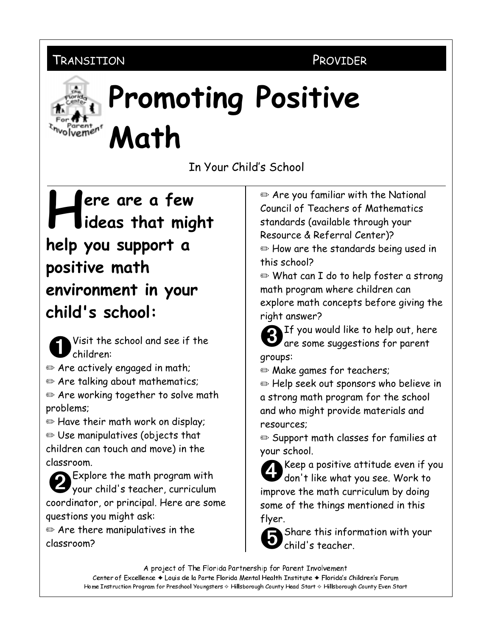## TRANSITION

PROVIDER



## **Promoting Positive** Math

In Your Child's School

## ere are a few ideas that might help you support a positive math environment in your child's school:

- Visit the school and see if the 'children:
- Are actively engaged in math;
- Are talking about mathematics;
- $\mathbf{\Theta}$  Are working together to solve math problems:
- E Have their math work on display;  $\bullet$  Use manipulatives (objects that children can touch and move) in the classroom.
- Explore the math program with your child's teacher, curriculum coordinator, or principal. Here are some questions you might ask:
- $\mathbf{\Theta}$  Are there manipulatives in the classroom?

Are you familiar with the National Council of Teachers of Mathematics standards (available through your Resource & Referral Center)?

 $\mathbf{\Theta}$  How are the standards being used in this school?

⊕ What can I do to help foster a strong math program where children can explore math concepts before giving the right answer?



qroups:

• Make games for teachers;

 $\mathbf{\Theta}$  Help seek out sponsors who believe in a strong math program for the school and who might provide materials and resources:

Support math classes for families at your school.

Keep a positive attitude even if you don't like what you see. Work to improve the math curriculum by doing some of the things mentioned in this flyer.



A project of The Florida Partnership for Parent Involvement

Center of Excellence + Louis de la Parte Florida Mental Health Institute + Florida's Children's Forum Home Instruction Program for Preschool Youngsters & Hillsborough County Head Start & Hillsborough County Even Start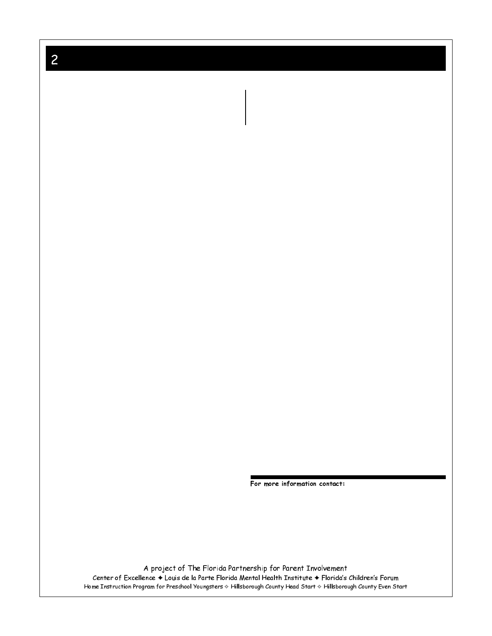$\overline{c}$ 

For more information contact:

A project of The Florida Partnership for Parent Involvement Center of Excellence ♦ Louis de la Parte Florida Mental Health Institute ♦ Florida's Children's Forum<br>Home Instruction Program for Preschool Youngsters \* Hillsborough County Head Start \* Hillsborough County Even Start